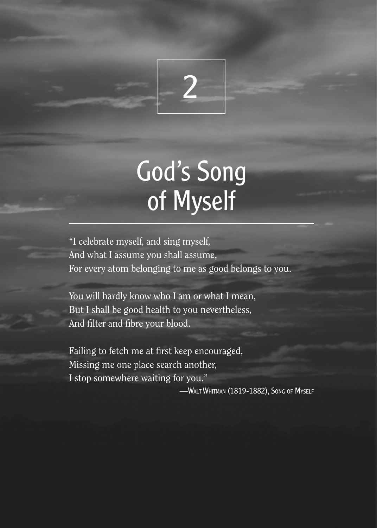

# God's Song of Myself

"I celebrate myself, and sing myself, And what I assume you shall assume, For every atom belonging to me as good belongs to you.

You will hardly know who I am or what I mean, But I shall be good health to you nevertheless, And filter and fibre your blood.

Failing to fetch me at first keep encouraged, Missing me one place search another, I stop somewhere waiting for you."

—Walt Whitman (1819-1882), Song of Myself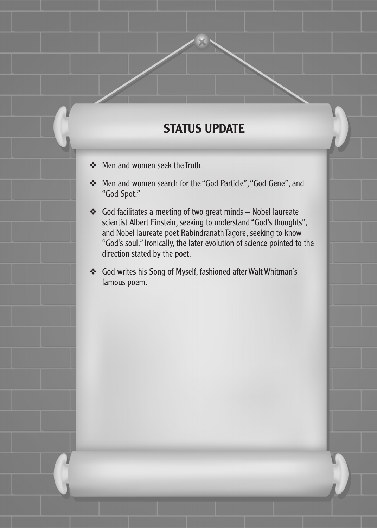## STATUS UPDATE

- ❖ Men and women seek the Truth.
- ❖ Men and women search for the "God Particle", "God Gene", and "God Spot."
- ❖ God facilitates a meeting of two great minds Nobel laureate scientist Albert Einstein, seeking to understand "God's thoughts", and Nobel laureate poet Rabindranath Tagore, seeking to know "God's soul." Ironically, the later evolution of science pointed to the direction stated by the poet.
- ❖ God writes his Song of Myself, fashioned after Walt Whitman's famous poem.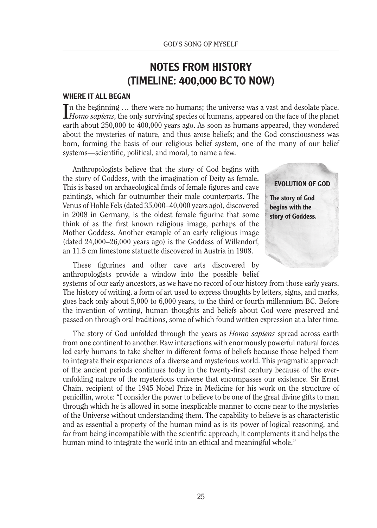### NOTES FROM HISTORY (TIMELINE: 400,000 BC TO NOW)

#### WHERE IT ALL BEGAN

In the beginning ... there were no humans; the universe was a vast and desolate place.<br>*Homo sapiens*, the only surviving species of humans, appeared on the face of the planet n the beginning … there were no humans; the universe was a vast and desolate place. earth about 250,000 to 400,000 years ago. As soon as humans appeared, they wondered about the mysteries of nature, and thus arose beliefs; and the God consciousness was born, forming the basis of our religious belief system, one of the many of our belief systems—scientific, political, and moral, to name a few.

Anthropologists believe that the story of God begins with the story of Goddess, with the imagination of Deity as female. This is based on archaeological finds of female figures and cave paintings, which far outnumber their male counterparts. The Venus of Hohle Fels (dated 35,000–40,000 years ago), discovered in 2008 in Germany, is the oldest female figurine that some think of as the first known religious image, perhaps of the Mother Goddess. Another example of an early religious image (dated 24,000–26,000 years ago) is the Goddess of Willendorf, an 11.5 cm limestone statuette discovered in Austria in 1908.

EVOLUTION OF GOD The story of God begins with the story of Goddess.

These figurines and other cave arts discovered by anthropologists provide a window into the possible belief

systems of our early ancestors, as we have no record of our history from those early years. The history of writing, a form of art used to express thoughts by letters, signs, and marks, goes back only about 5,000 to 6,000 years, to the third or fourth millennium BC. Before the invention of writing, human thoughts and beliefs about God were preserved and passed on through oral traditions, some of which found written expression at a later time.

The story of God unfolded through the years as *Homo sapiens* spread across earth from one continent to another. Raw interactions with enormously powerful natural forces led early humans to take shelter in different forms of beliefs because those helped them to integrate their experiences of a diverse and mysterious world. This pragmatic approach of the ancient periods continues today in the twenty-first century because of the everunfolding nature of the mysterious universe that encompasses our existence. Sir Ernst Chain, recipient of the 1945 Nobel Prize in Medicine for his work on the structure of penicillin, wrote: "I consider the power to believe to be one of the great divine gifts to man through which he is allowed in some inexplicable manner to come near to the mysteries of the Universe without understanding them. The capability to believe is as characteristic and as essential a property of the human mind as is its power of logical reasoning, and far from being incompatible with the scientific approach, it complements it and helps the human mind to integrate the world into an ethical and meaningful whole."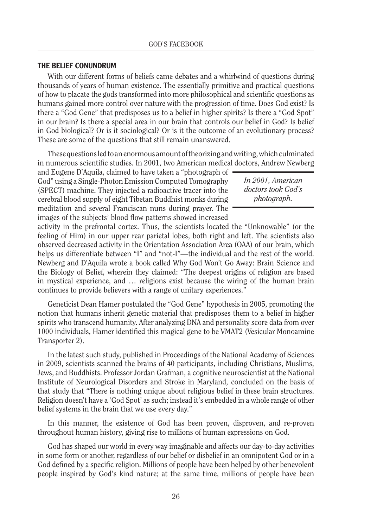#### THE BELIEF CONUNDRUM

With our different forms of beliefs came debates and a whirlwind of questions during thousands of years of human existence. The essentially primitive and practical questions of how to placate the gods transformed into more philosophical and scientific questions as humans gained more control over nature with the progression of time. Does God exist? Is there a "God Gene" that predisposes us to a belief in higher spirits? Is there a "God Spot" in our brain? Is there a special area in our brain that controls our belief in God? Is belief in God biological? Or is it sociological? Or is it the outcome of an evolutionary process? These are some of the questions that still remain unanswered.

These questions led to an enormous amount of theorizing and writing, which culminated in numerous scientific studies. In 2001, two American medical doctors, Andrew Newberg

and Eugene D'Aquila, claimed to have taken a "photograph of God" using a Single-Photon Emission Computed Tomography (SPECT) machine. They injected a radioactive tracer into the cerebral blood supply of eight Tibetan Buddhist monks during meditation and several Franciscan nuns during prayer. The images of the subjects' blood flow patterns showed increased

activity in the prefrontal cortex. Thus, the scientists located the "Unknowable" (or the feeling of Him) in our upper rear parietal lobes, both right and left. The scientists also observed decreased activity in the Orientation Association Area (OAA) of our brain, which helps us differentiate between "I" and "not-I"—the individual and the rest of the world. Newberg and D'Aquila wrote a book called Why God Won't Go Away: Brain Science and the Biology of Belief, wherein they claimed: "The deepest origins of religion are based in mystical experience, and … religions exist because the wiring of the human brain continues to provide believers with a range of unitary experiences."

Geneticist Dean Hamer postulated the "God Gene" hypothesis in 2005, promoting the notion that humans inherit genetic material that predisposes them to a belief in higher spirits who transcend humanity. After analyzing DNA and personality score data from over 1000 individuals, Hamer identified this magical gene to be VMAT2 (Vesicular Monoamine Transporter 2).

In the latest such study, published in Proceedings of the National Academy of Sciences in 2009, scientists scanned the brains of 40 participants, including Christians, Muslims, Jews, and Buddhists. Professor Jordan Grafman, a cognitive neuroscientist at the National Institute of Neurological Disorders and Stroke in Maryland, concluded on the basis of that study that "There is nothing unique about religious belief in these brain structures. Religion doesn't have a 'God Spot' as such; instead it's embedded in a whole range of other belief systems in the brain that we use every day."

In this manner, the existence of God has been proven, disproven, and re-proven throughout human history, giving rise to millions of human expressions on God.

God has shaped our world in every way imaginable and affects our day-to-day activities in some form or another, regardless of our belief or disbelief in an omnipotent God or in a God defined by a specific religion. Millions of people have been helped by other benevolent people inspired by God's kind nature; at the same time, millions of people have been

*In 2001, American doctors took God's photograph.*